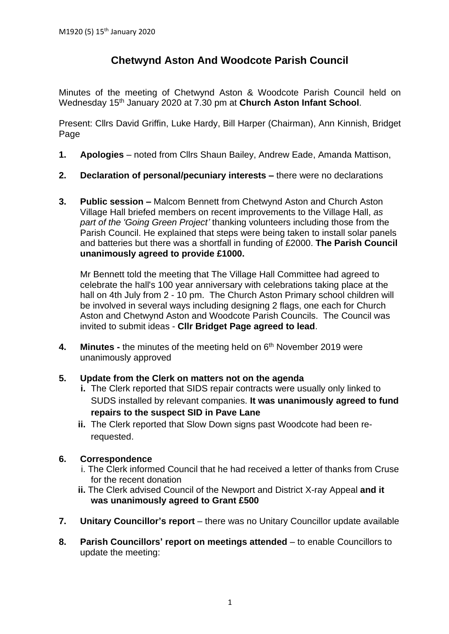# **Chetwynd Aston And Woodcote Parish Council**

Minutes of the meeting of Chetwynd Aston & Woodcote Parish Council held on Wednesday 15th January 2020 at 7.30 pm at **Church Aston Infant School**.

Present: Cllrs David Griffin, Luke Hardy, Bill Harper (Chairman), Ann Kinnish, Bridget Page

- **1. Apologies** noted from Cllrs Shaun Bailey, Andrew Eade, Amanda Mattison,
- **2. Declaration of personal/pecuniary interests –** there were no declarations
- **3. Public session –** Malcom Bennett from Chetwynd Aston and Church Aston Village Hall briefed members on recent improvements to the Village Hall, *as part of the 'Going Green Project'* thanking volunteers including those from the Parish Council. He explained that steps were being taken to install solar panels and batteries but there was a shortfall in funding of £2000. **The Parish Council unanimously agreed to provide £1000.**

Mr Bennett told the meeting that The Village Hall Committee had agreed to celebrate the hall's 100 year anniversary with celebrations taking place at the hall on 4th July from 2 - 10 pm. The Church Aston Primary school children will be involved in several ways including designing 2 flags, one each for Church Aston and Chetwynd Aston and Woodcote Parish Councils. The Council was invited to submit ideas - **Cllr Bridget Page agreed to lead**.

- **4. Minutes -** the minutes of the meeting held on 6 th November 2019 were unanimously approved
- **5. Update from the Clerk on matters not on the agenda**
	- **i.** The Clerk reported that SIDS repair contracts were usually only linked to SUDS installed by relevant companies. **It was unanimously agreed to fund repairs to the suspect SID in Pave Lane**
	- **ii.** The Clerk reported that Slow Down signs past Woodcote had been rerequested.

## **6. Correspondence**

- i. The Clerk informed Council that he had received a letter of thanks from Cruse for the recent donation
- **ii.** The Clerk advised Council of the Newport and District X-ray Appeal **and it was unanimously agreed to Grant £500**
- **7. Unitary Councillor's report** there was no Unitary Councillor update available
- **8. Parish Councillors' report on meetings attended** to enable Councillors to update the meeting: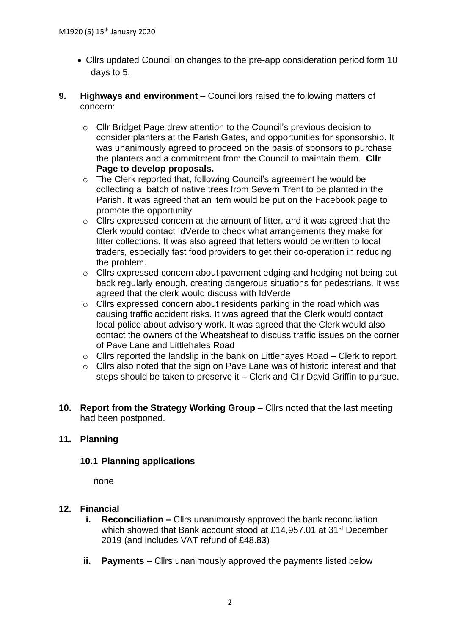- Cllrs updated Council on changes to the pre-app consideration period form 10 days to 5.
- **9. Highways and environment** Councillors raised the following matters of concern:
	- o Cllr Bridget Page drew attention to the Council's previous decision to consider planters at the Parish Gates, and opportunities for sponsorship. It was unanimously agreed to proceed on the basis of sponsors to purchase the planters and a commitment from the Council to maintain them. **Cllr Page to develop proposals.**
	- o The Clerk reported that, following Council's agreement he would be collecting a batch of native trees from Severn Trent to be planted in the Parish. It was agreed that an item would be put on the Facebook page to promote the opportunity
	- o Cllrs expressed concern at the amount of litter, and it was agreed that the Clerk would contact IdVerde to check what arrangements they make for litter collections. It was also agreed that letters would be written to local traders, especially fast food providers to get their co-operation in reducing the problem.
	- o Cllrs expressed concern about pavement edging and hedging not being cut back regularly enough, creating dangerous situations for pedestrians. It was agreed that the clerk would discuss with IdVerde
	- o Cllrs expressed concern about residents parking in the road which was causing traffic accident risks. It was agreed that the Clerk would contact local police about advisory work. It was agreed that the Clerk would also contact the owners of the Wheatsheaf to discuss traffic issues on the corner of Pave Lane and Littlehales Road
	- o Cllrs reported the landslip in the bank on Littlehayes Road Clerk to report.
	- o Cllrs also noted that the sign on Pave Lane was of historic interest and that steps should be taken to preserve it – Clerk and Cllr David Griffin to pursue.
- **10. Report from the Strategy Working Group** Cllrs noted that the last meeting had been postponed.

## **11. Planning**

## **10.1 Planning applications**

none

## **12. Financial**

- **i. Reconciliation –** Cllrs unanimously approved the bank reconciliation which showed that Bank account stood at £14,957.01 at 31<sup>st</sup> December 2019 (and includes VAT refund of £48.83)
- **ii. Payments –** Cllrs unanimously approved the payments listed below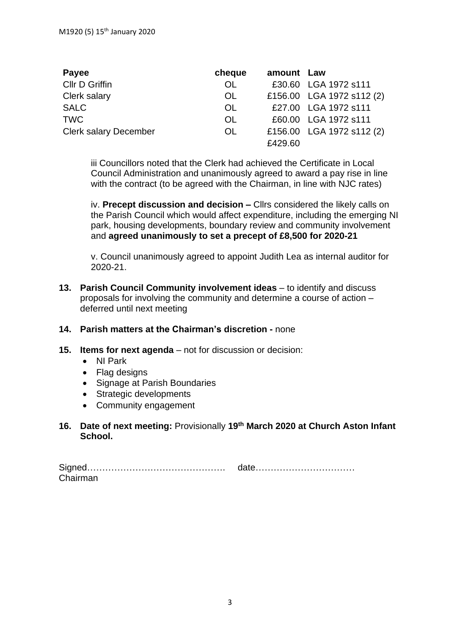| Payee                        | cheque    | amount Law |                           |
|------------------------------|-----------|------------|---------------------------|
| Cllr D Griffin               | <b>OL</b> |            | £30.60 LGA 1972 s111      |
| Clerk salary                 | OL.       |            | £156.00 LGA 1972 s112 (2) |
| <b>SALC</b>                  | <b>OL</b> |            | £27.00 LGA 1972 s111      |
| <b>TWC</b>                   | <b>OL</b> |            | £60.00 LGA 1972 s111      |
| <b>Clerk salary December</b> | OL.       |            | £156.00 LGA 1972 s112 (2) |
|                              |           | £429.60    |                           |

iii Councillors noted that the Clerk had achieved the Certificate in Local Council Administration and unanimously agreed to award a pay rise in line with the contract (to be agreed with the Chairman, in line with NJC rates)

iv. **Precept discussion and decision –** Cllrs considered the likely calls on the Parish Council which would affect expenditure, including the emerging NI park, housing developments, boundary review and community involvement and **agreed unanimously to set a precept of £8,500 for 2020-21**

v. Council unanimously agreed to appoint Judith Lea as internal auditor for 2020-21.

**13. Parish Council Community involvement ideas** – to identify and discuss proposals for involving the community and determine a course of action – deferred until next meeting

#### **14. Parish matters at the Chairman's discretion -** none

- **15. Items for next agenda** not for discussion or decision:
	- NI Park
	- Flag designs
	- Signage at Parish Boundaries
	- Strategic developments
	- Community engagement

#### **16. Date of next meeting:** Provisionally **19th March 2020 at Church Aston Infant School.**

|          | <u>ual<del>o</del></u> |
|----------|------------------------|
| Chairman |                        |